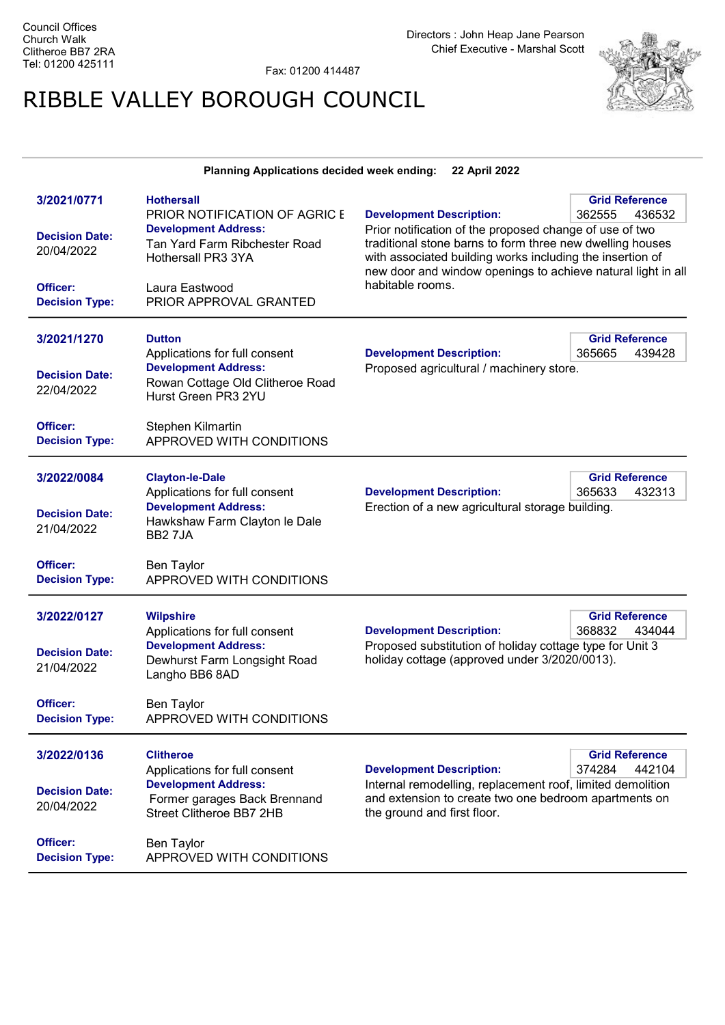Fax: 01200 414487

## RIBBLE VALLEY BOROUGH COUNCIL



## Planning Applications decided week ending: 22 April 2022

| 3/2021/0771<br><b>Decision Date:</b><br>20/04/2022<br>Officer:<br><b>Decision Type:</b> | <b>Hothersall</b><br>PRIOR NOTIFICATION OF AGRIC E<br><b>Development Address:</b><br>Tan Yard Farm Ribchester Road<br>Hothersall PR3 3YA<br>Laura Eastwood<br>PRIOR APPROVAL GRANTED      | <b>Development Description:</b><br>Prior notification of the proposed change of use of two<br>traditional stone barns to form three new dwelling houses<br>with associated building works including the insertion of<br>new door and window openings to achieve natural light in all<br>habitable rooms. | <b>Grid Reference</b><br>362555<br>436532 |
|-----------------------------------------------------------------------------------------|-------------------------------------------------------------------------------------------------------------------------------------------------------------------------------------------|----------------------------------------------------------------------------------------------------------------------------------------------------------------------------------------------------------------------------------------------------------------------------------------------------------|-------------------------------------------|
| 3/2021/1270<br><b>Decision Date:</b><br>22/04/2022<br>Officer:<br><b>Decision Type:</b> | <b>Dutton</b><br>Applications for full consent<br><b>Development Address:</b><br>Rowan Cottage Old Clitheroe Road<br>Hurst Green PR3 2YU<br>Stephen Kilmartin<br>APPROVED WITH CONDITIONS | <b>Development Description:</b><br>Proposed agricultural / machinery store.                                                                                                                                                                                                                              | <b>Grid Reference</b><br>365665<br>439428 |
| 3/2022/0084<br><b>Decision Date:</b><br>21/04/2022<br>Officer:<br><b>Decision Type:</b> | <b>Clayton-le-Dale</b><br>Applications for full consent<br><b>Development Address:</b><br>Hawkshaw Farm Clayton le Dale<br>BB27JA<br>Ben Taylor<br>APPROVED WITH CONDITIONS               | <b>Development Description:</b><br>Erection of a new agricultural storage building.                                                                                                                                                                                                                      | <b>Grid Reference</b><br>365633<br>432313 |
| 3/2022/0127<br><b>Decision Date:</b><br>21/04/2022<br>Officer:<br><b>Decision Type:</b> | <b>Wilpshire</b><br>Applications for full consent<br><b>Development Address:</b><br>Dewhurst Farm Longsight Road<br>Langho BB6 8AD<br>Ben Taylor<br>APPROVED WITH CONDITIONS              | <b>Development Description:</b><br>Proposed substitution of holiday cottage type for Unit 3<br>holiday cottage (approved under 3/2020/0013).                                                                                                                                                             | <b>Grid Reference</b><br>368832<br>434044 |
| 3/2022/0136<br><b>Decision Date:</b><br>20/04/2022<br>Officer:<br><b>Decision Type:</b> | <b>Clitheroe</b><br>Applications for full consent<br><b>Development Address:</b><br>Former garages Back Brennand<br>Street Clitheroe BB7 2HB<br>Ben Taylor<br>APPROVED WITH CONDITIONS    | <b>Development Description:</b><br>Internal remodelling, replacement roof, limited demolition<br>and extension to create two one bedroom apartments on<br>the ground and first floor.                                                                                                                    | <b>Grid Reference</b><br>374284<br>442104 |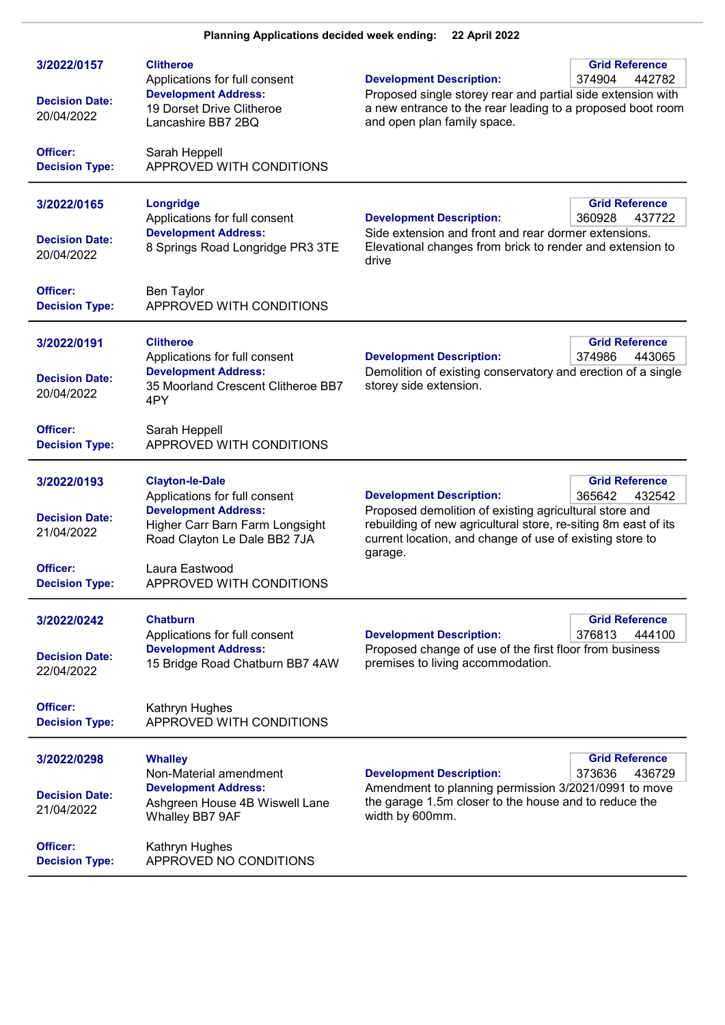| 3/2022/0157<br><b>Decision Date:</b><br>20/04/2022                                      | <b>Clitheroe</b><br>Applications for full consent<br><b>Development Address:</b><br>19 Dorset Drive Clitheroe<br>Lancashire BB7 2BQ                                                                     | <b>Development Description:</b><br>Proposed single storey rear and partial side extension with<br>a new entrance to the rear leading to a proposed boot room<br>and open plan family space.                                                                                     | <b>Grid Reference</b><br>374904<br>442782 |
|-----------------------------------------------------------------------------------------|---------------------------------------------------------------------------------------------------------------------------------------------------------------------------------------------------------|---------------------------------------------------------------------------------------------------------------------------------------------------------------------------------------------------------------------------------------------------------------------------------|-------------------------------------------|
| Officer:<br><b>Decision Type:</b>                                                       | Sarah Heppell<br>APPROVED WITH CONDITIONS                                                                                                                                                               |                                                                                                                                                                                                                                                                                 |                                           |
| 3/2022/0165<br><b>Decision Date:</b><br>20/04/2022                                      | Longridge<br>Applications for full consent<br><b>Development Address:</b><br>8 Springs Road Longridge PR3 3TE                                                                                           | <b>Grid Reference</b><br><b>Development Description:</b><br>360928<br>437722<br>Side extension and front and rear dormer extensions.<br>Elevational changes from brick to render and extension to<br>drive                                                                      |                                           |
| Officer:<br><b>Decision Type:</b>                                                       | <b>Ben Taylor</b><br>APPROVED WITH CONDITIONS                                                                                                                                                           |                                                                                                                                                                                                                                                                                 |                                           |
| 3/2022/0191<br><b>Decision Date:</b><br>20/04/2022                                      | <b>Clitheroe</b><br>Applications for full consent<br><b>Development Address:</b><br>35 Moorland Crescent Clitheroe BB7<br>4PY                                                                           | <b>Development Description:</b><br>Demolition of existing conservatory and erection of a single<br>storey side extension.                                                                                                                                                       | <b>Grid Reference</b><br>374986<br>443065 |
| Officer:<br><b>Decision Type:</b>                                                       | Sarah Heppell<br>APPROVED WITH CONDITIONS                                                                                                                                                               |                                                                                                                                                                                                                                                                                 |                                           |
| 3/2022/0193<br><b>Decision Date:</b><br>21/04/2022<br>Officer:<br><b>Decision Type:</b> | <b>Clayton-le-Dale</b><br>Applications for full consent<br><b>Development Address:</b><br>Higher Carr Barn Farm Longsight<br>Road Clayton Le Dale BB2 7JA<br>Laura Eastwood<br>APPROVED WITH CONDITIONS | <b>Grid Reference</b><br><b>Development Description:</b><br>365642<br>432542<br>Proposed demolition of existing agricultural store and<br>rebuilding of new agricultural store, re-siting 8m east of its<br>current location, and change of use of existing store to<br>garage. |                                           |
| 3/2022/0242<br><b>Decision Date:</b><br>22/04/2022<br>Officer:                          | <b>Chatburn</b><br>Applications for full consent<br><b>Development Address:</b><br>15 Bridge Road Chatburn BB7 4AW                                                                                      | <b>Development Description:</b><br>Proposed change of use of the first floor from business<br>premises to living accommodation.                                                                                                                                                 | <b>Grid Reference</b><br>376813<br>444100 |
| <b>Decision Type:</b>                                                                   | Kathryn Hughes<br>APPROVED WITH CONDITIONS                                                                                                                                                              |                                                                                                                                                                                                                                                                                 |                                           |
| 3/2022/0298<br><b>Decision Date:</b><br>21/04/2022                                      | <b>Whalley</b><br>Non-Material amendment<br><b>Development Address:</b><br>Ashgreen House 4B Wiswell Lane<br>Whalley BB7 9AF                                                                            | <b>Grid Reference</b><br><b>Development Description:</b><br>373636<br>436729<br>Amendment to planning permission 3/2021/0991 to move<br>the garage 1.5m closer to the house and to reduce the<br>width by 600mm.                                                                |                                           |
| Officer:<br><b>Decision Type:</b>                                                       | Kathryn Hughes<br>APPROVED NO CONDITIONS                                                                                                                                                                |                                                                                                                                                                                                                                                                                 |                                           |